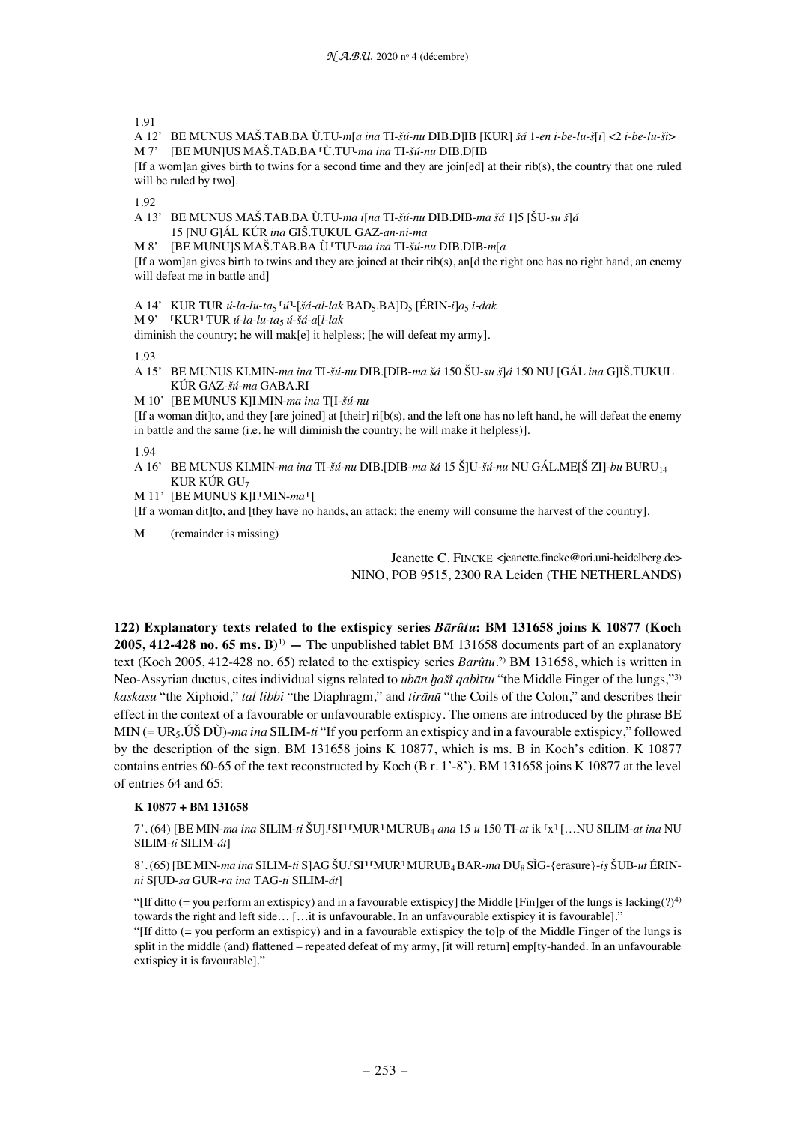1.91

A 12' BE MUNUS MAŠ.TAB.BA Ù.TU-*m*[*a ina* TI*-šú-nu* DIB.D]IB [KUR] *šá* 1*-en i-be-lu-š*[*i*] <2 *i-be-lu-ši*> M 7' [BE MUN]US MAŠ.TAB.BA ⸢Ù.TU⸣-*ma ina* TI*-šú-nu* DIB.D[IB

[If a wom]an gives birth to twins for a second time and they are join[ed] at their rib(s), the country that one ruled will be ruled by two].

1.92

A 13' BE MUNUS MAŠ.TAB.BA Ù.TU-*ma i*[*na* TI*-šú-nu* DIB.DIB*-ma šá* 1]5 [ŠU*-su š*]*á* 15 [NU G]ÁL KÚR *ina* GIŠ.TUKUL GAZ-*an-ni-ma*

M 8' [BE MUNU]S MAŠ.TAB.BA Ù.⸢TU⸣-*ma ina* TI*-šú-nu* DIB.DIB*-m*[*a*

[If a wom]an gives birth to twins and they are joined at their rib(s), and d the right one has no right hand, an enemy will defeat me in battle and]

A 14' KUR TUR *ú-la-lu-ta*₅ ⸢*ú*⸣-[*šá-al-lak* BAD₅.BA]D₅ [ÉRIN-*i*]*a*₅ *i-dak*

M 9' ⸢KUR⸣ TUR *ú-la-lu-ta*₅ *ú*-*šá-a*[*l-lak*

diminish the country; he will mak[e] it helpless; [he will defeat my army].

1.93

A 15' BE MUNUS KI.MIN-*ma ina* TI*-šú-nu* DIB.[DIB-*ma šá* 150 ŠU*-su š*]*á* 150 NU [GÁL *ina* G]IŠ.TUKUL KÚR GAZ*-šú-ma* GABA.RI

M 10' [BE MUNUS K]I.MIN-*ma ina* T[I*-šú-nu*

 $[If a woman dit]to, and they [are joined] at [their] ri[bc], and the left one has no left hand, he will defeat the enemy$ in battle and the same (i.e. he will diminish the country; he will make it helpless)].

1.94

A 16' BE MUNUS KI.MIN-*ma ina* TI*-šú-nu* DIB.[DIB-*ma šá* 15 Š]U*-šú-nu* NU GÁL.ME[Š ZI]-*bu* BURU₁₄ KUR KÚR GU $_7$ 

M 11' [BE MUNUS K]I.<sup>[</sup>MIN-ma<sup>1</sup>]

[If a woman dit]to, and [they have no hands, an attack; the enemy will consume the harvest of the country].

M (remainder is missing)

Jeanette C. FINCKE <jeanette.fincke@ori.uni-heidelberg.de> NINO, POB 9515, 2300 RA Leiden (THE NETHERLANDS)

**122) Explanatory texts related to the extispicy series** *Bārûtu***: BM 131658 joins K 10877 (Koch 2005, 412-428 no. 65 ms. B)**1) **—** The unpublished tablet BM 131658 documents part of an explanatory text (Koch 2005, 412-428 no. 65) related to the extispicy series *Bārûtu*. 2) BM 131658, which is written in Neo-Assyrian ductus, cites individual signs related to *ubān ḫašî qablītu* "the Middle Finger of the lungs,"3) *kaskasu* "the Xiphoid," *tal libbi* "the Diaphragm," and *tirānū* "the Coils of the Colon," and describes their effect in the context of a favourable or unfavourable extispicy. The omens are introduced by the phrase BE MIN (= UR₅.ÚŠ DÙ)-*ma ina* SILIM-*ti* "If you perform an extispicy and in a favourable extispicy," followed by the description of the sign. BM 131658 joins K 10877, which is ms. B in Koch's edition. K 10877 contains entries 60-65 of the text reconstructed by Koch (B r. 1'-8'). BM 131658 joins K 10877 at the level of entries 64 and 65:

## **K 10877 + BM 131658**

7'. (64) [BE MIN-*ma ina* SILIM-*ti* ŠU].⸢SI⸣ ⸢MUR⸣ MURUB₄ *ana* 15 *u* 150 TI-*at* ik ⸢x⸣ […NU SILIM-*at ina* NU SILIM-*ti* SILIM-*át*]

8'. (65) [BE MIN-*ma ina* SILIM-*ti* S]AG ŠU.⸢SI⸣ ⸢MUR⸣ MURUB₄ BAR-*ma* DU₈ SÌG-{erasure}-*iṣ* ŠUB-*ut* ÉRIN*ni* S[UD-*sa* GUR-*ra ina* TAG-*ti* SILIM-*át*]

"[If ditto (= you perform an extispicy) and in a favourable extispicy] the Middle [Fin]ger of the lungs is lacking(?)<sup>4)</sup> towards the right and left side… […it is unfavourable. In an unfavourable extispicy it is favourable]."

"[If ditto (= you perform an extispicy) and in a favourable extispicy the to]p of the Middle Finger of the lungs is split in the middle (and) flattened – repeated defeat of my army, [it will return] emp[ty-handed. In an unfavourable extispicy it is favourable]."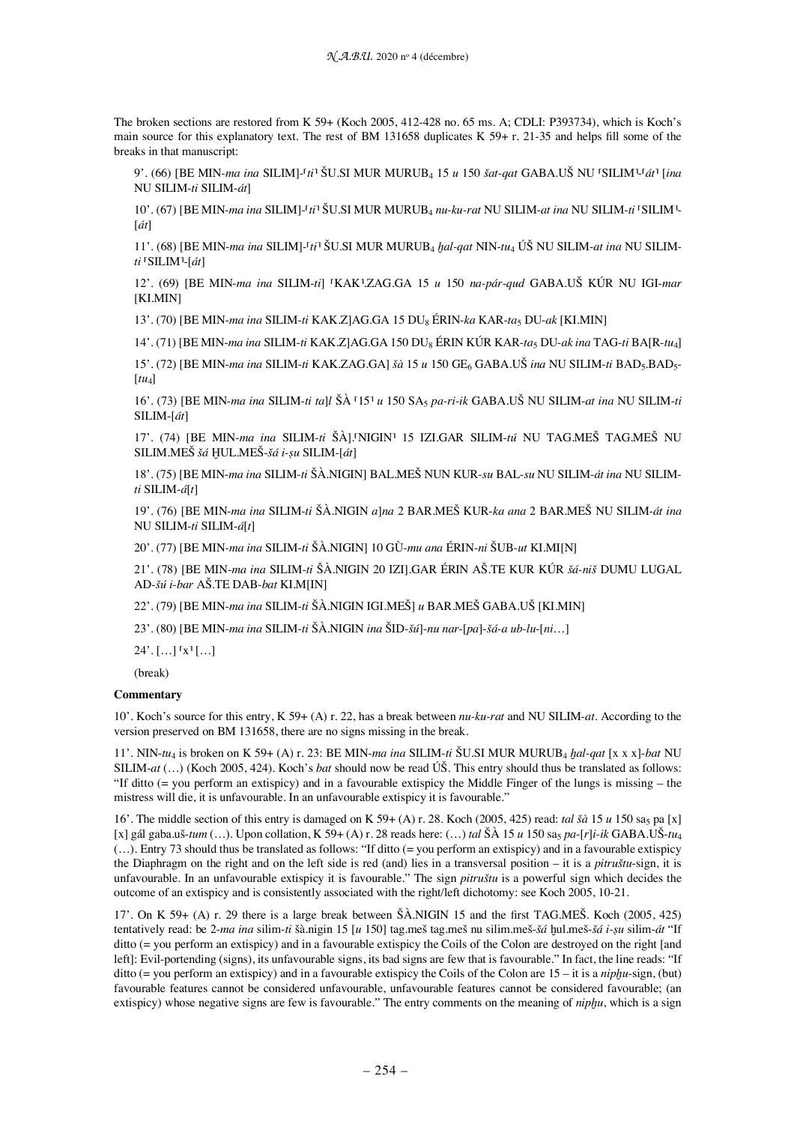The broken sections are restored from K 59+ (Koch 2005, 412-428 no. 65 ms. A; CDLI: P393734), which is Koch's main source for this explanatory text. The rest of BM 131658 duplicates K 59+ r. 21-35 and helps fill some of the breaks in that manuscript:

9'. (66) [BE MIN-*ma ina* SILIM]-⸢*ti*⸣ ŠU.SI MUR MURUB₄ 15 *u* 150 *šat-qat* GABA.UŠ NU ⸢SILIM⸣-⸢*át*⸣ [*ina* NU SILIM-*ti* SILIM-*át*]

10'. (67) [BE MIN-ma ina SILIM]-<sup>r</sup>ti<sup>3</sup> ŠU.SI MUR MURUB4 nu-ku-rat NU SILIM-at ina NU SILIM-ti<sup>†</sup>SILIM<sup>1</sup>-[*át*]

11'. (68) [BE MIN-*ma ina* SILIM]-⸢*ti*⸣ ŠU.SI MUR MURUB₄ *ḫal-qat* NIN-*tu*₄ ÚŠ NU SILIM-*at ina* NU SILIM*ti* ⸢SILIM⸣-[*át*]

12'. (69) [BE MIN-*ma ina* SILIM-*ti*] ⸢KAK⸣.ZAG.GA 15 *u* 150 *na-pár*-*qud* GABA.UŠ KÚR NU IGI-*mar* [KI.MIN]

13'. (70) [BE MIN-*ma ina* SILIM-*ti* KAK.Z]AG.GA 15 DU₈ ÉRIN-*ka* KAR-*ta*₅ DU-*ak* [KI.MIN]

14'. (71) [BE MIN-*ma ina* SILIM-*ti* KAK.Z]AG.GA 150 DU₈ ÉRIN KÚR KAR-*ta*₅ DU-*ak ina* TAG-*ti* BA[R-*tu*₄]

15'. (72) [BE MIN-*ma ina* SILIM-*ti* KAK.ZAG.GA] *šà* 15 *u* 150 GE₆ GABA.UŠ *ina* NU SILIM-*ti* BAD₅.BAD₅-  $\lceil t u_A \rceil$ 

16'. (73) [BE MIN-*ma ina* SILIM-*ti ta*]*l* ŠÀ ⸢15⸣ *u* 150 SA₅ *pa-ri-ik* GABA.UŠ NU SILIM-*at ina* NU SILIM-*ti* SILIM-[*át*]

17'. (74) [BE MIN-*ma ina* SILIM-*ti* ŠÀ].⸢NIGIN⸣ 15 IZI.GAR SILIM-*tú* NU TAG.MEŠ TAG.MEŠ NU SILIM.MEŠ *šá* ḪUL.MEŠ-*šá i-ṣu* SILIM-[*át*]

18'. (75) [BE MIN-*ma ina* SILIM-*ti* ŠÀ.NIGIN] BAL.MEŠ NUN KUR-*su* BAL-*su* NU SILIM-*át ina* NU SILIM*ti* SILIM-*á*[*t*]

19'. (76) [BE MIN-*ma ina* SILIM-*ti* ŠÀ.NIGIN *a*]*na* 2 BAR.MEŠ KUR-*ka ana* 2 BAR.MEŠ NU SILIM-*át ina* NU SILIM-*ti* SILIM-*á*[*t*]

20'. (77) [BE MIN-*ma ina* SILIM-*ti* ŠÀ.NIGIN] 10 GÙ-*mu ana* ÉRIN-*ni* ŠUB-*ut* KI.MI[N]

21'. (78) [BE MIN-*ma ina* SILIM-*ti* ŠÀ.NIGIN 20 IZI].GAR ÉRIN AŠ.TE KUR KÚR *šá-niš* DUMU LUGAL AD-*šú i-bar* AŠ.TE DAB-*bat* KI.M[IN]

22'. (79) [BE MIN-*ma ina* SILIM-*ti* ŠÀ.NIGIN IGI.MEŠ] *u* BAR.MEŠ GABA.UŠ [KI.MIN]

23'. (80) [BE MIN-*ma ina* SILIM-*ti* ŠÀ.NIGIN *ina* ŠID-*šú*]-*nu nar*-[*pa*]-*šá-a ub-lu*-[*ni*…]

 $24'.$   $\lceil ... \rceil$   $\lceil x \rceil$   $\lceil ... \rceil$ 

(break)

## **Commentary**

10'. Koch's source for this entry, K 59+ (A) r. 22, has a break between *nu-ku-rat* and NU SILIM-*at*. According to the version preserved on BM 131658, there are no signs missing in the break.

11'. NIN-*tu*₄ is broken on K 59+ (A) r. 23: BE MIN-*ma ina* SILIM-*ti* ŠU.SI MUR MURUB₄ *ḫal-qat* [x x x]-*bat* NU SILIM-*at* (…) (Koch 2005, 424). Koch's *bat* should now be read ÚŠ. This entry should thus be translated as follows: "If ditto  $(=$  you perform an extispicy) and in a favourable extispicy the Middle Finger of the lungs is missing  $-$  the mistress will die, it is unfavourable. In an unfavourable extispicy it is favourable."

16'. The middle section of this entry is damaged on K 59+ (A) r. 28. Koch (2005, 425) read: *tal šà* 15 *u* 150 sa₅ pa [x]  $[x]$  gál gaba.uš-*tum* (...). Upon collation, K 59+ (A) r. 28 reads here: (...) *tal* Š $\hat{A}$  15 *u* 150 sa<sub>5</sub> pa-[r]*i-ik* GABA.UŠ-*tu*<sub>4</sub> (…). Entry 73 should thus be translated as follows: "If ditto (= you perform an extispicy) and in a favourable extispicy the Diaphragm on the right and on the left side is red (and) lies in a transversal position – it is a *pitruštu*-sign, it is unfavourable. In an unfavourable extispicy it is favourable." The sign *pitruštu* is a powerful sign which decides the outcome of an extispicy and is consistently associated with the right/left dichotomy: see Koch 2005, 10-21.

17'. On K 59+ (A) r. 29 there is a large break between ŠÀ.NIGIN 15 and the first TAG.MEŠ. Koch (2005, 425) tentatively read: be 2-*ma ina* silim-*ti* šà.nigin 15 [*u* 150] tag.meš tag.meš nu silim.meš-*šá* ḫul.meš-*šá i-ṣu* silim-*át* "If ditto (= you perform an extispicy) and in a favourable extispicy the Coils of the Colon are destroyed on the right [and left]: Evil-portending (signs), its unfavourable signs, its bad signs are few that is favourable." In fact, the line reads: "If ditto (= you perform an extispicy) and in a favourable extispicy the Coils of the Colon are 15 – it is a *nipḫu*-sign, (but) favourable features cannot be considered unfavourable, unfavourable features cannot be considered favourable; (an extispicy) whose negative signs are few is favourable." The entry comments on the meaning of *niphu*, which is a sign